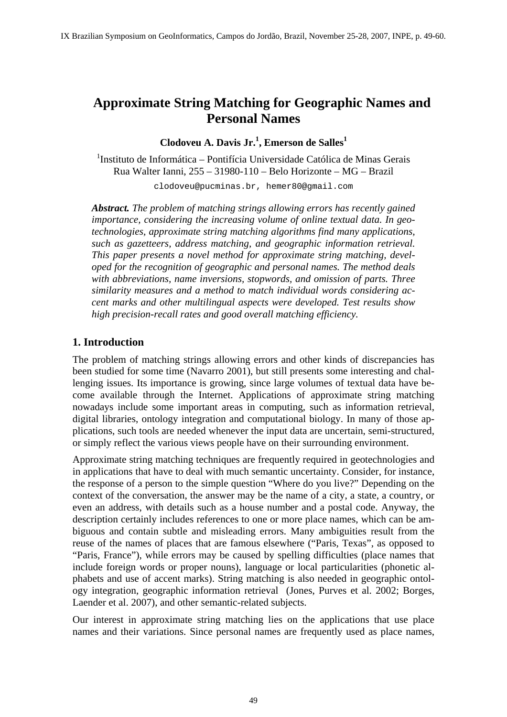# **Approximate String Matching for Geographic Names and Personal Names**

# **Clodoveu A. Davis Jr.<sup>1</sup> , Emerson de Salles<sup>1</sup>**

<sup>1</sup>Instituto de Informática - Pontifícia Universidade Católica de Minas Gerais Rua Walter Ianni, 255 – 31980-110 – Belo Horizonte – MG – Brazil

clodoveu@pucminas.br, hemer80@gmail.com

*Abstract. The problem of matching strings allowing errors has recently gained importance, considering the increasing volume of online textual data. In geotechnologies, approximate string matching algorithms find many applications, such as gazetteers, address matching, and geographic information retrieval. This paper presents a novel method for approximate string matching, developed for the recognition of geographic and personal names. The method deals with abbreviations, name inversions, stopwords, and omission of parts. Three similarity measures and a method to match individual words considering accent marks and other multilingual aspects were developed. Test results show high precision-recall rates and good overall matching efficiency.* 

## **1. Introduction**

The problem of matching strings allowing errors and other kinds of discrepancies has been studied for some time (Navarro 2001), but still presents some interesting and challenging issues. Its importance is growing, since large volumes of textual data have become available through the Internet. Applications of approximate string matching nowadays include some important areas in computing, such as information retrieval, digital libraries, ontology integration and computational biology. In many of those applications, such tools are needed whenever the input data are uncertain, semi-structured, or simply reflect the various views people have on their surrounding environment.

Approximate string matching techniques are frequently required in geotechnologies and in applications that have to deal with much semantic uncertainty. Consider, for instance, the response of a person to the simple question "Where do you live?" Depending on the context of the conversation, the answer may be the name of a city, a state, a country, or even an address, with details such as a house number and a postal code. Anyway, the description certainly includes references to one or more place names, which can be ambiguous and contain subtle and misleading errors. Many ambiguities result from the reuse of the names of places that are famous elsewhere ("Paris, Texas", as opposed to "Paris, France"), while errors may be caused by spelling difficulties (place names that include foreign words or proper nouns), language or local particularities (phonetic alphabets and use of accent marks). String matching is also needed in geographic ontology integration, geographic information retrieval (Jones, Purves et al. 2002; Borges, Laender et al. 2007), and other semantic-related subjects.

Our interest in approximate string matching lies on the applications that use place names and their variations. Since personal names are frequently used as place names,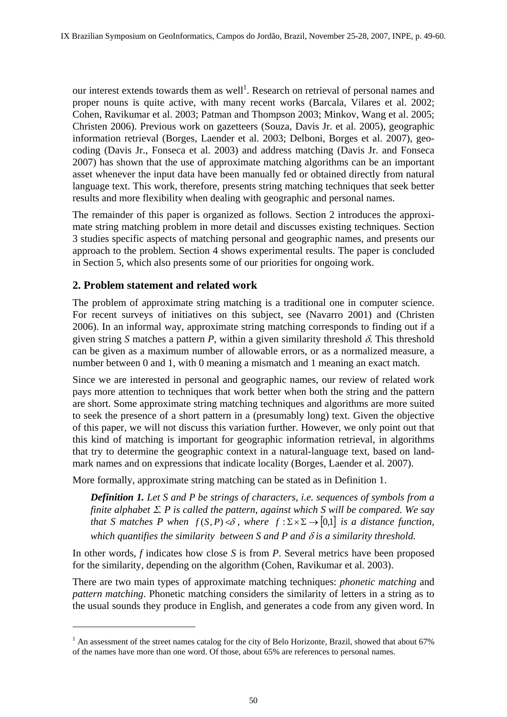our interest extends towards them as well<sup>1</sup>. Research on retrieval of personal names and proper nouns is quite active, with many recent works (Barcala, Vilares et al. 2002; Cohen, Ravikumar et al. 2003; Patman and Thompson 2003; Minkov, Wang et al. 2005; Christen 2006). Previous work on gazetteers (Souza, Davis Jr. et al. 2005), geographic information retrieval (Borges, Laender et al. 2003; Delboni, Borges et al. 2007), geocoding (Davis Jr., Fonseca et al. 2003) and address matching (Davis Jr. and Fonseca 2007) has shown that the use of approximate matching algorithms can be an important asset whenever the input data have been manually fed or obtained directly from natural language text. This work, therefore, presents string matching techniques that seek better results and more flexibility when dealing with geographic and personal names.

The remainder of this paper is organized as follows. Section 2 introduces the approximate string matching problem in more detail and discusses existing techniques. Section 3 studies specific aspects of matching personal and geographic names, and presents our approach to the problem. Section 4 shows experimental results. The paper is concluded in Section 5, which also presents some of our priorities for ongoing work.

# **2. Problem statement and related work**

 $\overline{a}$ 

The problem of approximate string matching is a traditional one in computer science. For recent surveys of initiatives on this subject, see (Navarro 2001) and (Christen 2006). In an informal way, approximate string matching corresponds to finding out if a given string *S* matches a pattern *P*, within a given similarity threshold  $\delta$ . This threshold can be given as a maximum number of allowable errors, or as a normalized measure, a number between 0 and 1, with 0 meaning a mismatch and 1 meaning an exact match.

Since we are interested in personal and geographic names, our review of related work pays more attention to techniques that work better when both the string and the pattern are short. Some approximate string matching techniques and algorithms are more suited to seek the presence of a short pattern in a (presumably long) text. Given the objective of this paper, we will not discuss this variation further. However, we only point out that this kind of matching is important for geographic information retrieval, in algorithms that try to determine the geographic context in a natural-language text, based on landmark names and on expressions that indicate locality (Borges, Laender et al. 2007).

More formally, approximate string matching can be stated as in Definition 1.

*Definition 1. Let S and P be strings of characters, i.e. sequences of symbols from a finite alphabet* Σ*. P is called the pattern, against which S will be compared. We say that S matches P when*  $f(S, P) < \delta$ , where  $f : \Sigma \times \Sigma \rightarrow [0,1]$  *is a distance function, which quantifies the similarity between S and P and* δ *is a similarity threshold.* 

In other words, *f* indicates how close *S* is from *P*. Several metrics have been proposed for the similarity, depending on the algorithm (Cohen, Ravikumar et al. 2003).

There are two main types of approximate matching techniques: *phonetic matching* and *pattern matching*. Phonetic matching considers the similarity of letters in a string as to the usual sounds they produce in English, and generates a code from any given word. In

 $1$  An assessment of the street names catalog for the city of Belo Horizonte, Brazil, showed that about 67% of the names have more than one word. Of those, about 65% are references to personal names.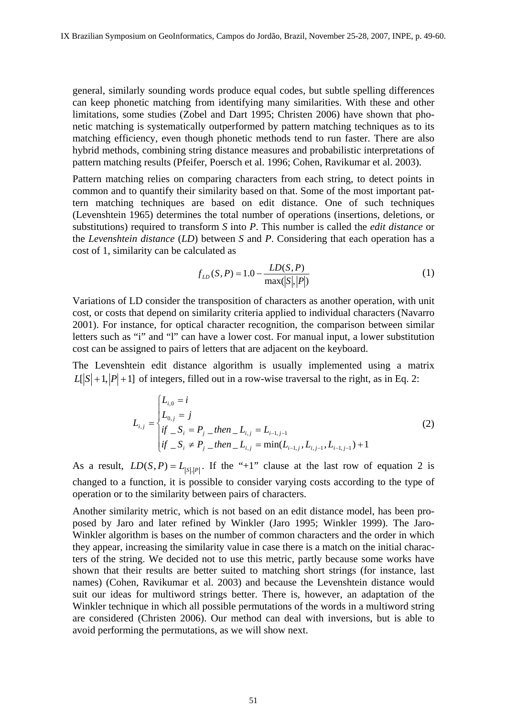general, similarly sounding words produce equal codes, but subtle spelling differences can keep phonetic matching from identifying many similarities. With these and other limitations, some studies (Zobel and Dart 1995; Christen 2006) have shown that phonetic matching is systematically outperformed by pattern matching techniques as to its matching efficiency, even though phonetic methods tend to run faster. There are also hybrid methods, combining string distance measures and probabilistic interpretations of pattern matching results (Pfeifer, Poersch et al. 1996; Cohen, Ravikumar et al. 2003).

Pattern matching relies on comparing characters from each string, to detect points in common and to quantify their similarity based on that. Some of the most important pattern matching techniques are based on edit distance. One of such techniques (Levenshtein 1965) determines the total number of operations (insertions, deletions, or substitutions) required to transform *S* into *P*. This number is called the *edit distance* or the *Levenshtein distance* (*LD*) between *S* and *P*. Considering that each operation has a cost of 1, similarity can be calculated as

$$
f_{LD}(S, P) = 1.0 - \frac{LD(S, P)}{\max(|S|, |P|)}
$$
(1)

Variations of LD consider the transposition of characters as another operation, with unit cost, or costs that depend on similarity criteria applied to individual characters (Navarro 2001). For instance, for optical character recognition, the comparison between similar letters such as "i" and "l" can have a lower cost. For manual input, a lower substitution cost can be assigned to pairs of letters that are adjacent on the keyboard.

The Levenshtein edit distance algorithm is usually implemented using a matrix  $L[S+1, |P|+1]$  of integers, filled out in a row-wise traversal to the right, as in Eq. 2:

$$
L_{i,j} = \begin{cases} L_{i,0} = i \\ L_{0,j} = j \\ \text{if } \_S_i = P_j \_ \text{then } \_L_{i,j} = L_{i-1,j-1} \\ \text{if } \_S_i \neq P_j \_ \text{then } \_L_{i,j} = \min(L_{i-1,j}, L_{i,j-1}, L_{i-1,j-1}) + 1 \end{cases} \tag{2}
$$

As a result,  $LD(S, P) = L_{|S|, |P|}$ . If the "+1" clause at the last row of equation 2 is changed to a function, it is possible to consider varying costs according to the type of operation or to the similarity between pairs of characters.

Another similarity metric, which is not based on an edit distance model, has been proposed by Jaro and later refined by Winkler (Jaro 1995; Winkler 1999). The Jaro-Winkler algorithm is bases on the number of common characters and the order in which they appear, increasing the similarity value in case there is a match on the initial characters of the string. We decided not to use this metric, partly because some works have shown that their results are better suited to matching short strings (for instance, last names) (Cohen, Ravikumar et al. 2003) and because the Levenshtein distance would suit our ideas for multiword strings better. There is, however, an adaptation of the Winkler technique in which all possible permutations of the words in a multiword string are considered (Christen 2006). Our method can deal with inversions, but is able to avoid performing the permutations, as we will show next.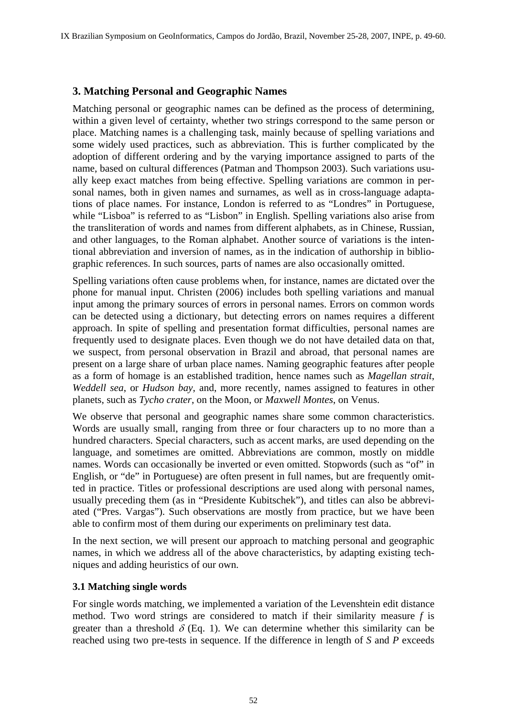# **3. Matching Personal and Geographic Names**

Matching personal or geographic names can be defined as the process of determining, within a given level of certainty, whether two strings correspond to the same person or place. Matching names is a challenging task, mainly because of spelling variations and some widely used practices, such as abbreviation. This is further complicated by the adoption of different ordering and by the varying importance assigned to parts of the name, based on cultural differences (Patman and Thompson 2003). Such variations usually keep exact matches from being effective. Spelling variations are common in personal names, both in given names and surnames, as well as in cross-language adaptations of place names. For instance, London is referred to as "Londres" in Portuguese, while "Lisboa" is referred to as "Lisbon" in English. Spelling variations also arise from the transliteration of words and names from different alphabets, as in Chinese, Russian, and other languages, to the Roman alphabet. Another source of variations is the intentional abbreviation and inversion of names, as in the indication of authorship in bibliographic references. In such sources, parts of names are also occasionally omitted.

Spelling variations often cause problems when, for instance, names are dictated over the phone for manual input. Christen (2006) includes both spelling variations and manual input among the primary sources of errors in personal names. Errors on common words can be detected using a dictionary, but detecting errors on names requires a different approach. In spite of spelling and presentation format difficulties, personal names are frequently used to designate places. Even though we do not have detailed data on that, we suspect, from personal observation in Brazil and abroad, that personal names are present on a large share of urban place names. Naming geographic features after people as a form of homage is an established tradition, hence names such as *Magellan strait*, *Weddell sea*, or *Hudson bay*, and, more recently, names assigned to features in other planets, such as *Tycho crater*, on the Moon, or *Maxwell Montes*, on Venus.

We observe that personal and geographic names share some common characteristics. Words are usually small, ranging from three or four characters up to no more than a hundred characters. Special characters, such as accent marks, are used depending on the language, and sometimes are omitted. Abbreviations are common, mostly on middle names. Words can occasionally be inverted or even omitted. Stopwords (such as "of" in English, or "de" in Portuguese) are often present in full names, but are frequently omitted in practice. Titles or professional descriptions are used along with personal names, usually preceding them (as in "Presidente Kubitschek"), and titles can also be abbreviated ("Pres. Vargas"). Such observations are mostly from practice, but we have been able to confirm most of them during our experiments on preliminary test data.

In the next section, we will present our approach to matching personal and geographic names, in which we address all of the above characteristics, by adapting existing techniques and adding heuristics of our own.

### **3.1 Matching single words**

For single words matching, we implemented a variation of the Levenshtein edit distance method. Two word strings are considered to match if their similarity measure *f* is greater than a threshold  $\delta$  (Eq. 1). We can determine whether this similarity can be reached using two pre-tests in sequence. If the difference in length of *S* and *P* exceeds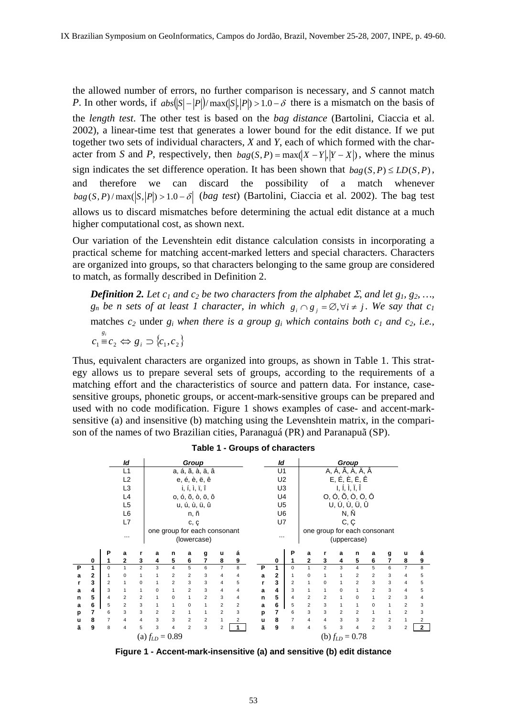the allowed number of errors, no further comparison is necessary, and *S* cannot match *P*. In other words, if  $abs(|S| - |P|)/max(|S|, |P|) > 1.0 - \delta$  there is a mismatch on the basis of the *length test*. The other test is based on the *bag distance* (Bartolini, Ciaccia et al. 2002), a linear-time test that generates a lower bound for the edit distance. If we put together two sets of individual characters, *X* and *Y*, each of which formed with the character from *S* and *P*, respectively, then  $bag(S, P) = max(|X - Y|, |Y - X|)$ , where the minus sign indicates the set difference operation. It has been shown that  $bag(S, P) \leq LD(S, P)$ , and therefore we can discard the possibility of a match whenever  $bag(S, P)/max(|S, |P|) > 1.0 - \delta$  (*bag test*) (Bartolini, Ciaccia et al. 2002). The bag test allows us to discard mismatches before determining the actual edit distance at a much higher computational cost, as shown next.

Our variation of the Levenshtein edit distance calculation consists in incorporating a practical scheme for matching accent-marked letters and special characters. Characters are organized into groups, so that characters belonging to the same group are considered to match, as formally described in Definition 2.

*Definition 2. Let c<sub>1</sub> and c<sub>2</sub> be two characters from the alphabet*  $\Sigma$ *, and let g<sub>1</sub>, g<sub>2</sub>, ..., g<sub>n</sub>* be *n* sets of at least 1 character, in which  $g_i \cap g_j = \emptyset$ ,  $\forall i \neq j$ . We say that  $c_1$ matches  $c_2$  under  $g_i$  when there is a group  $g_i$  which contains both  $c_1$  and  $c_2$ , i.e.,

 $c_1 \equiv c_2 \Leftrightarrow g_i \supset \{c_1, c_2\}$ 

Thus, equivalent characters are organized into groups, as shown in Table 1. This strategy allows us to prepare several sets of groups, according to the requirements of a matching effort and the characteristics of source and pattern data. For instance, casesensitive groups, phonetic groups, or accent-mark-sensitive groups can be prepared and used with no code modification. Figure 1 shows examples of case- and accent-marksensitive (a) and insensitive (b) matching using the Levenshtein matrix, in the comparison of the names of two Brazilian cities, Paranaguá (PR) and Paranapuã (SP).



#### **Table 1 - Groups of characters**

**Figure 1 - Accent-mark-insensitive (a) and sensitive (b) edit distance**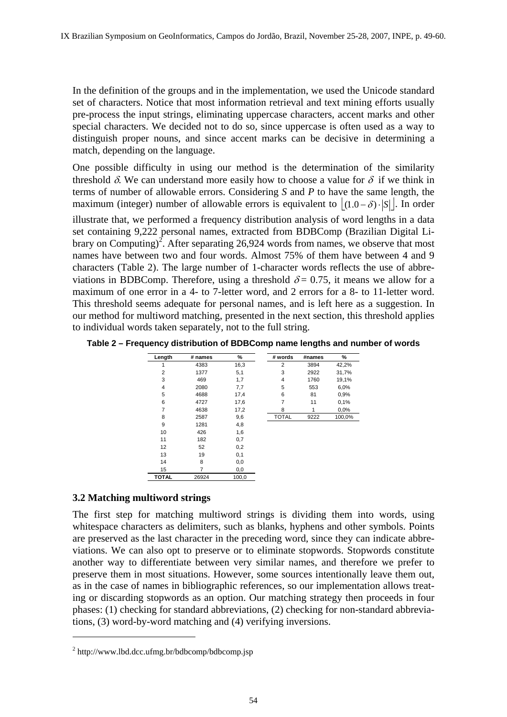In the definition of the groups and in the implementation, we used the Unicode standard set of characters. Notice that most information retrieval and text mining efforts usually pre-process the input strings, eliminating uppercase characters, accent marks and other special characters. We decided not to do so, since uppercase is often used as a way to distinguish proper nouns, and since accent marks can be decisive in determining a match, depending on the language.

One possible difficulty in using our method is the determination of the similarity threshold  $\delta$ . We can understand more easily how to choose a value for  $\delta$  if we think in terms of number of allowable errors. Considering *S* and *P* to have the same length, the maximum (integer) number of allowable errors is equivalent to  $|(1.0 - \delta) \cdot |S||$ . In order illustrate that, we performed a frequency distribution analysis of word lengths in a data set containing 9,222 personal names, extracted from BDBComp (Brazilian Digital Library on Computing)<sup>2</sup>. After separating 26,924 words from names, we observe that most names have between two and four words. Almost 75% of them have between 4 and 9 characters (Table 2). The large number of 1-character words reflects the use of abbreviations in BDBComp. Therefore, using a threshold  $\delta = 0.75$ , it means we allow for a maximum of one error in a 4- to 7-letter word, and 2 errors for a 8- to 11-letter word. This threshold seems adequate for personal names, and is left here as a suggestion. In our method for multiword matching, presented in the next section, this threshold applies to individual words taken separately, not to the full string.

**Table 2 – Frequency distribution of BDBComp name lengths and number of words** 

| Length         | # names | %     | # words      | #names | ℅      |
|----------------|---------|-------|--------------|--------|--------|
| 1              | 4383    | 16,3  | 2            | 3894   | 42,2%  |
| 2              | 1377    | 5,1   | 3            | 2922   | 31,7%  |
| 3              | 469     | 1,7   | 4            | 1760   | 19,1%  |
| $\overline{4}$ | 2080    | 7,7   | 5            | 553    | 6,0%   |
| 5              | 4688    | 17,4  | 6            | 81     | 0,9%   |
| 6              | 4727    | 17,6  | 7            | 11     | 0,1%   |
| 7              | 4638    | 17,2  | 8            | 1      | 0,0%   |
| 8              | 2587    | 9,6   | <b>TOTAL</b> | 9222   | 100,0% |
| 9              | 1281    | 4,8   |              |        |        |
| 10             | 426     | 1,6   |              |        |        |
| 11             | 182     | 0,7   |              |        |        |
| 12             | 52      | 0,2   |              |        |        |
| 13             | 19      | 0,1   |              |        |        |
| 14             | 8       | 0,0   |              |        |        |
| 15             | 7       | 0,0   |              |        |        |
| <b>TOTAL</b>   | 26924   | 100,0 |              |        |        |

### **3.2 Matching multiword strings**

The first step for matching multiword strings is dividing them into words, using whitespace characters as delimiters, such as blanks, hyphens and other symbols. Points are preserved as the last character in the preceding word, since they can indicate abbreviations. We can also opt to preserve or to eliminate stopwords. Stopwords constitute another way to differentiate between very similar names, and therefore we prefer to preserve them in most situations. However, some sources intentionally leave them out, as in the case of names in bibliographic references, so our implementation allows treating or discarding stopwords as an option. Our matching strategy then proceeds in four phases: (1) checking for standard abbreviations, (2) checking for non-standard abbreviations, (3) word-by-word matching and (4) verifying inversions.

 $\overline{a}$ 

 $2$  http://www.lbd.dcc.ufmg.br/bdbcomp/bdbcomp.jsp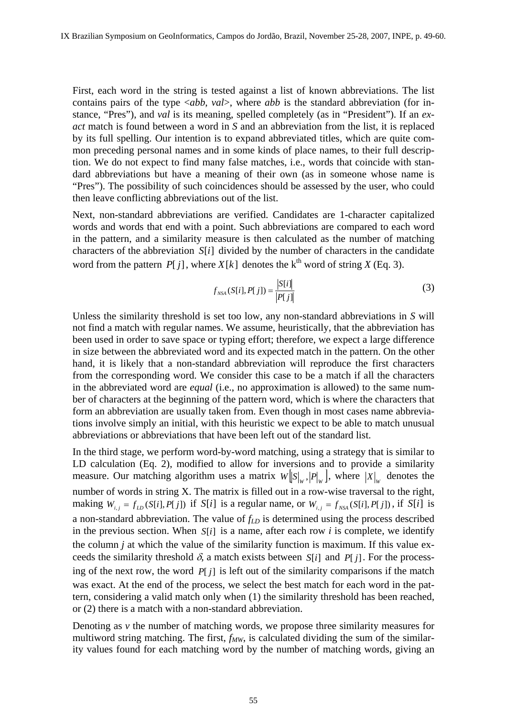First, each word in the string is tested against a list of known abbreviations. The list contains pairs of the type <*abb*, *val*>, where *abb* is the standard abbreviation (for instance, "Pres"), and *val* is its meaning, spelled completely (as in "President"). If an *exact* match is found between a word in *S* and an abbreviation from the list, it is replaced by its full spelling. Our intention is to expand abbreviated titles, which are quite common preceding personal names and in some kinds of place names, to their full description. We do not expect to find many false matches, i.e., words that coincide with standard abbreviations but have a meaning of their own (as in someone whose name is "Pres"). The possibility of such coincidences should be assessed by the user, who could then leave conflicting abbreviations out of the list.

Next, non-standard abbreviations are verified. Candidates are 1-character capitalized words and words that end with a point. Such abbreviations are compared to each word in the pattern, and a similarity measure is then calculated as the number of matching characters of the abbreviation *S*[*i*] divided by the number of characters in the candidate word from the pattern  $P[i]$ , where  $X[k]$  denotes the  $k^{th}$  word of string  $X$  (Eq. 3).

$$
f_{NSA}(S[i], P[j]) = \frac{|S[i]|}{|P[j]|}
$$
 (3)

Unless the similarity threshold is set too low, any non-standard abbreviations in *S* will not find a match with regular names. We assume, heuristically, that the abbreviation has been used in order to save space or typing effort; therefore, we expect a large difference in size between the abbreviated word and its expected match in the pattern. On the other hand, it is likely that a non-standard abbreviation will reproduce the first characters from the corresponding word. We consider this case to be a match if all the characters in the abbreviated word are *equal* (i.e., no approximation is allowed) to the same number of characters at the beginning of the pattern word, which is where the characters that form an abbreviation are usually taken from. Even though in most cases name abbreviations involve simply an initial, with this heuristic we expect to be able to match unusual abbreviations or abbreviations that have been left out of the standard list.

In the third stage, we perform word-by-word matching, using a strategy that is similar to LD calculation (Eq. 2), modified to allow for inversions and to provide a similarity measure. Our matching algorithm uses a matrix  $W[S]_{w}$ ,  $P|_{w}$ , where  $|X|_{w}$  denotes the number of words in string X. The matrix is filled out in a row-wise traversal to the right, making  $W_{i,j} = f_{LD}(S[i], P[j])$  if  $S[i]$  is a regular name, or  $W_{i,j} = f_{NSA}(S[i], P[j])$ , if  $S[i]$  is a non-standard abbreviation. The value of  $f_{LD}$  is determined using the process described in the previous section. When *S*[*i*] is a name, after each row *i* is complete, we identify the column *j* at which the value of the similarity function is maximum. If this value exceeds the similarity threshold  $\delta$ , a match exists between *S*[*i*] and *P*[*j*]. For the processing of the next row, the word *P*[ *j*] is left out of the similarity comparisons if the match was exact. At the end of the process, we select the best match for each word in the pattern, considering a valid match only when (1) the similarity threshold has been reached, or (2) there is a match with a non-standard abbreviation.

Denoting as  $\nu$  the number of matching words, we propose three similarity measures for multiword string matching. The first,  $f_{MW}$ , is calculated dividing the sum of the similarity values found for each matching word by the number of matching words, giving an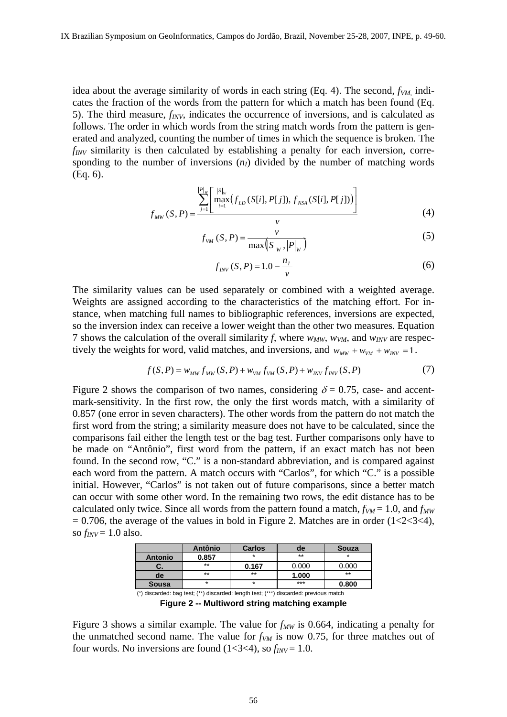idea about the average similarity of words in each string  $(Eq. 4)$ . The second,  $f_{VM}$  indicates the fraction of the words from the pattern for which a match has been found (Eq. 5). The third measure, *fINV*, indicates the occurrence of inversions, and is calculated as follows. The order in which words from the string match words from the pattern is generated and analyzed, counting the number of times in which the sequence is broken. The *f<sub>INV</sub>* similarity is then calculated by establishing a penalty for each inversion, corresponding to the number of inversions  $(n<sub>I</sub>)$  divided by the number of matching words (Eq. 6).

$$
f_{MW}(S, P) = \frac{\sum_{j=1}^{|P|_W} \left[ \max_{i=1}^{|S|_W} (f_{LD}(S[i], P[j]), f_{NSA}(S[i], P[j])) \right]}{v}
$$
(4)

$$
f_{VM}(S, P) = \frac{v}{\max(|S|_{W}, |P|_{W})}
$$
 (5)

$$
f_{\text{INV}}(S, P) = 1.0 - \frac{n_I}{v} \tag{6}
$$

The similarity values can be used separately or combined with a weighted average. Weights are assigned according to the characteristics of the matching effort. For instance, when matching full names to bibliographic references, inversions are expected, so the inversion index can receive a lower weight than the other two measures. Equation 7 shows the calculation of the overall similarity f, where  $w_{MW}$ ,  $w_{VM}$ , and  $w_{INV}$  are respectively the weights for word, valid matches, and inversions, and  $w_{MW} + w_{VM} + w_{INV} = 1$ .

$$
f(S, P) = w_{MW} f_{MW}(S, P) + w_{VM} f_{VM}(S, P) + w_{INV} f_{INV}(S, P)
$$
(7)

Figure 2 shows the comparison of two names, considering  $\delta = 0.75$ , case- and accentmark-sensitivity. In the first row, the only the first words match, with a similarity of 0.857 (one error in seven characters). The other words from the pattern do not match the first word from the string; a similarity measure does not have to be calculated, since the comparisons fail either the length test or the bag test. Further comparisons only have to be made on "Antônio", first word from the pattern, if an exact match has not been found. In the second row, "C." is a non-standard abbreviation, and is compared against each word from the pattern. A match occurs with "Carlos", for which "C." is a possible initial. However, "Carlos" is not taken out of future comparisons, since a better match can occur with some other word. In the remaining two rows, the edit distance has to be calculated only twice. Since all words from the pattern found a match,  $f_{VM} = 1.0$ , and  $f_{MW}$  $= 0.706$ , the average of the values in bold in Figure 2. Matches are in order (1<2<3<4), so  $f_{INV} = 1.0$  also.

|                                                                                       | <b>Antônio</b> | <b>Carlos</b> | de    | <b>Souza</b> |
|---------------------------------------------------------------------------------------|----------------|---------------|-------|--------------|
| <b>Antonio</b>                                                                        | 0.857          | $\star$       | $**$  |              |
| υ.                                                                                    | $***$          | 0.167         | 0.000 | 0.000        |
| de                                                                                    | $***$          | $***$         | 1.000 | $***$        |
| <b>Sousa</b>                                                                          | $\star$        | ÷             | $***$ | 0.800        |
| (*) discarded: bag test; (**) discarded: length test; (***) discarded: previous match |                |               |       |              |

**Figure 2 -- Multiword string matching example** 

Figure 3 shows a similar example. The value for  $f_{MW}$  is 0.664, indicating a penalty for the unmatched second name. The value for  $f_{VM}$  is now 0.75, for three matches out of four words. No inversions are found  $(1<3<4)$ , so  $f_{INV} = 1.0$ .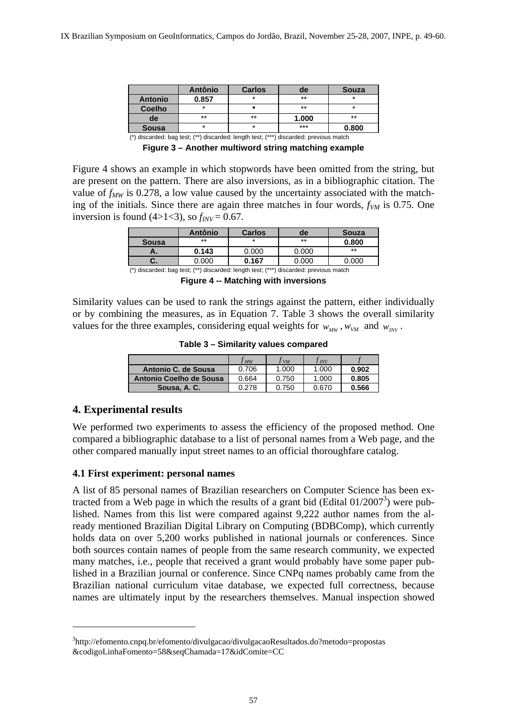|                                                                 | <b>Antônio</b>                                                                  | <b>Carlos</b>                                                                   | de    | <b>Souza</b> |
|-----------------------------------------------------------------|---------------------------------------------------------------------------------|---------------------------------------------------------------------------------|-------|--------------|
| <b>Antonio</b>                                                  | 0.857                                                                           |                                                                                 | $**$  | $\star$      |
| <b>Coelho</b>                                                   | $\star$                                                                         |                                                                                 | $***$ | *            |
| de                                                              | $***$                                                                           | $***$                                                                           | 1.000 | $***$        |
| <b>Sousa</b>                                                    | *                                                                               | *                                                                               | $***$ | 0.800        |
| the contract of the contract of the contract of the contract of | the contract of the contract of the contract of the contract of the contract of | the contract of the contract of the contract of the contract of the contract of |       |              |

(\*) discarded: bag test; (\*\*) discarded: length test; (\*\*\*) discarded: previous match **Figure 3 – Another multiword string matching example** 

Figure 4 shows an example in which stopwords have been omitted from the string, but are present on the pattern. There are also inversions, as in a bibliographic citation. The value of  $f_{MW}$  is 0.278, a low value caused by the uncertainty associated with the matching of the initials. Since there are again three matches in four words,  $f_{VM}$  is 0.75. One inversion is found  $(4>1<3)$ , so  $f_{INV} = 0.67$ .

|                                                                                       | <b>Antônio</b> | <b>Carlos</b> | de    | <b>Souza</b> |
|---------------------------------------------------------------------------------------|----------------|---------------|-------|--------------|
| <b>Sousa</b>                                                                          | **             | $\star$       | $**$  | 0.800        |
| Α.                                                                                    | 0.143          | 0.000         | 0.000 | **           |
| U.                                                                                    | 0.000          | 0.167         | 0.000 | 0.000        |
| (*) discarded: bag test; (**) discarded: length test; (***) discarded: previous match |                |               |       |              |

**Figure 4 -- Matching with inversions** 

Similarity values can be used to rank the strings against the pattern, either individually or by combining the measures, as in Equation 7. Table 3 shows the overall similarity values for the three examples, considering equal weights for  $w_{MW}$ ,  $w_{V}$  and  $w_{INV}$ .

**Table 3 – Similarity values compared** 

|                         | J MW  | l vm  | J INV |       |
|-------------------------|-------|-------|-------|-------|
| Antonio C. de Sousa     | 0.706 | 1.000 | 1.000 | 0.902 |
| Antonio Coelho de Sousa | 0.664 | 0.750 | 1.000 | 0.805 |
| Sousa, A. C.            | 0.278 | 0.750 | 0.670 | 0.566 |

### **4. Experimental results**

 $\overline{a}$ 

We performed two experiments to assess the efficiency of the proposed method. One compared a bibliographic database to a list of personal names from a Web page, and the other compared manually input street names to an official thoroughfare catalog.

#### **4.1 First experiment: personal names**

A list of 85 personal names of Brazilian researchers on Computer Science has been extracted from a Web page in which the results of a grant bid (Edital  $01/2007^3$ ) were published. Names from this list were compared against 9,222 author names from the already mentioned Brazilian Digital Library on Computing (BDBComp), which currently holds data on over 5,200 works published in national journals or conferences. Since both sources contain names of people from the same research community, we expected many matches, i.e., people that received a grant would probably have some paper published in a Brazilian journal or conference. Since CNPq names probably came from the Brazilian national curriculum vitae database, we expected full correctness, because names are ultimately input by the researchers themselves. Manual inspection showed

<sup>3</sup> http://efomento.cnpq.br/efomento/divulgacao/divulgacaoResultados.do?metodo=propostas &codigoLinhaFomento=58&seqChamada=17&idComite=CC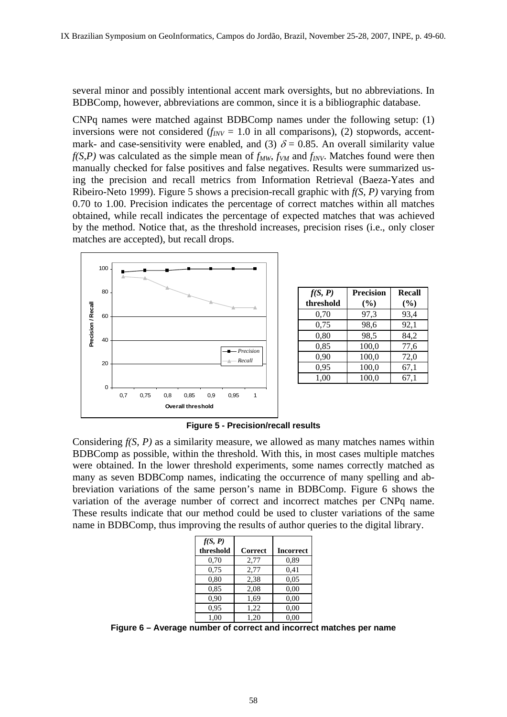several minor and possibly intentional accent mark oversights, but no abbreviations. In BDBComp, however, abbreviations are common, since it is a bibliographic database.

CNPq names were matched against BDBComp names under the following setup: (1) inversions were not considered  $(f_{INV} = 1.0$  in all comparisons), (2) stopwords, accentmark- and case-sensitivity were enabled, and (3)  $\delta = 0.85$ . An overall similarity value  $f(S, P)$  was calculated as the simple mean of  $f_{MW}$ ,  $f_{VM}$  and  $f_{INV}$ . Matches found were then manually checked for false positives and false negatives. Results were summarized using the precision and recall metrics from Information Retrieval (Baeza-Yates and Ribeiro-Neto 1999). Figure 5 shows a precision-recall graphic with *f(S, P)* varying from 0.70 to 1.00. Precision indicates the percentage of correct matches within all matches obtained, while recall indicates the percentage of expected matches that was achieved by the method. Notice that, as the threshold increases, precision rises (i.e., only closer matches are accepted), but recall drops.



| f(S, P)   | <b>Precision</b> | Recall |
|-----------|------------------|--------|
| threshold | (%)              | (%)    |
| 0,70      | 97,3             | 93,4   |
| 0,75      | 98,6             | 92,1   |
| 0,80      | 98,5             | 84,2   |
| 0,85      | 100,0            | 77,6   |
| 0.90      | 100,0            | 72,0   |
| 0,95      | 100,0            | 67,1   |
| 1,00      | 100,0            | 67,1   |

**Figure 5 - Precision/recall results** 

Considering *f(S, P)* as a similarity measure, we allowed as many matches names within BDBComp as possible, within the threshold. With this, in most cases multiple matches were obtained. In the lower threshold experiments, some names correctly matched as many as seven BDBComp names, indicating the occurrence of many spelling and abbreviation variations of the same person's name in BDBComp. Figure 6 shows the variation of the average number of correct and incorrect matches per CNPq name. These results indicate that our method could be used to cluster variations of the same name in BDBComp, thus improving the results of author queries to the digital library.

| f(S, P)   |                |                  |
|-----------|----------------|------------------|
| threshold | <b>Correct</b> | <b>Incorrect</b> |
| 0,70      | 2,77           | 0.89             |
| 0.75      | 2,77           | 0,41             |
| 0,80      | 2,38           | 0,05             |
| 0.85      | 2,08           | 0,00             |
| 0.90      | 1,69           | 0,00             |
| 0,95      | 1,22           | 0,00             |
| 1.00      | 1.20           | 0.00             |

**Figure 6 – Average number of correct and incorrect matches per name**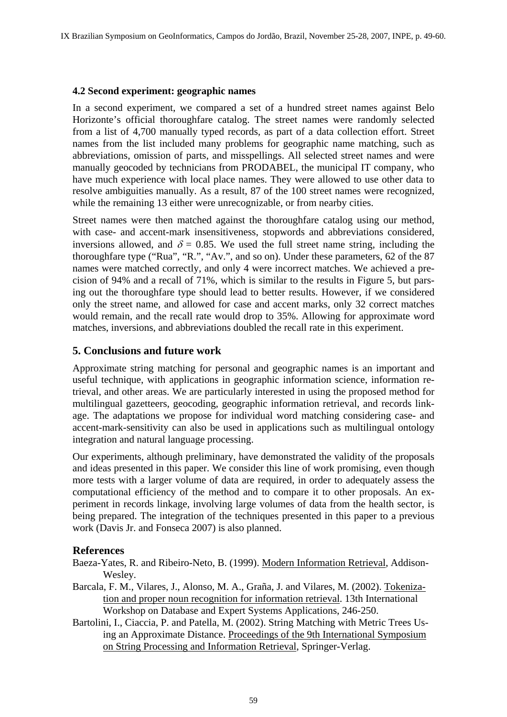#### **4.2 Second experiment: geographic names**

In a second experiment, we compared a set of a hundred street names against Belo Horizonte's official thoroughfare catalog. The street names were randomly selected from a list of 4,700 manually typed records, as part of a data collection effort. Street names from the list included many problems for geographic name matching, such as abbreviations, omission of parts, and misspellings. All selected street names and were manually geocoded by technicians from PRODABEL, the municipal IT company, who have much experience with local place names. They were allowed to use other data to resolve ambiguities manually. As a result, 87 of the 100 street names were recognized, while the remaining 13 either were unrecognizable, or from nearby cities.

Street names were then matched against the thoroughfare catalog using our method, with case- and accent-mark insensitiveness, stopwords and abbreviations considered, inversions allowed, and  $\delta = 0.85$ . We used the full street name string, including the thoroughfare type ("Rua", "R.", "Av.", and so on). Under these parameters, 62 of the 87 names were matched correctly, and only 4 were incorrect matches. We achieved a precision of 94% and a recall of 71%, which is similar to the results in Figure 5, but parsing out the thoroughfare type should lead to better results. However, if we considered only the street name, and allowed for case and accent marks, only 32 correct matches would remain, and the recall rate would drop to 35%. Allowing for approximate word matches, inversions, and abbreviations doubled the recall rate in this experiment.

## **5. Conclusions and future work**

Approximate string matching for personal and geographic names is an important and useful technique, with applications in geographic information science, information retrieval, and other areas. We are particularly interested in using the proposed method for multilingual gazetteers, geocoding, geographic information retrieval, and records linkage. The adaptations we propose for individual word matching considering case- and accent-mark-sensitivity can also be used in applications such as multilingual ontology integration and natural language processing.

Our experiments, although preliminary, have demonstrated the validity of the proposals and ideas presented in this paper. We consider this line of work promising, even though more tests with a larger volume of data are required, in order to adequately assess the computational efficiency of the method and to compare it to other proposals. An experiment in records linkage, involving large volumes of data from the health sector, is being prepared. The integration of the techniques presented in this paper to a previous work (Davis Jr. and Fonseca 2007) is also planned.

### **References**

- Baeza-Yates, R. and Ribeiro-Neto, B. (1999). Modern Information Retrieval, Addison-Wesley.
- Barcala, F. M., Vilares, J., Alonso, M. A., Graña, J. and Vilares, M. (2002). Tokenization and proper noun recognition for information retrieval. 13th International Workshop on Database and Expert Systems Applications, 246-250.
- Bartolini, I., Ciaccia, P. and Patella, M. (2002). String Matching with Metric Trees Using an Approximate Distance. Proceedings of the 9th International Symposium on String Processing and Information Retrieval, Springer-Verlag.